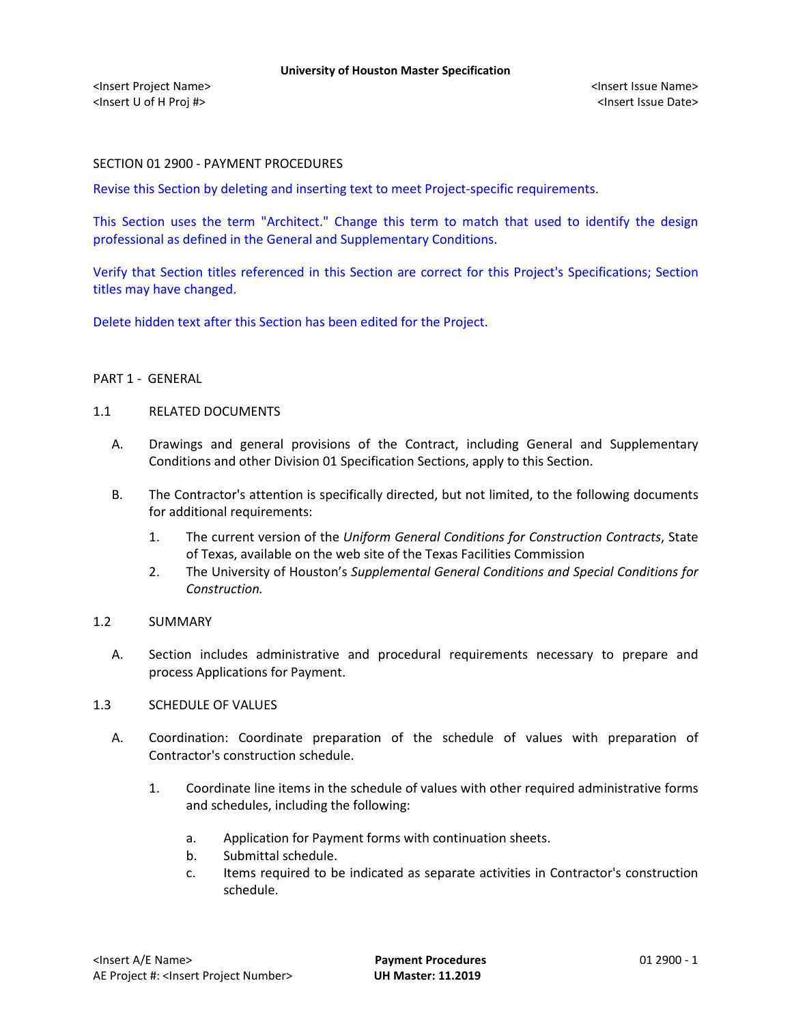## SECTION 01 2900 - PAYMENT PROCEDURES

Revise this Section by deleting and inserting text to meet Project-specific requirements.

This Section uses the term "Architect." Change this term to match that used to identify the design professional as defined in the General and Supplementary Conditions.

Verify that Section titles referenced in this Section are correct for this Project's Specifications; Section titles may have changed.

Delete hidden text after this Section has been edited for the Project.

### PART 1 - GENERAL

### 1.1 RELATED DOCUMENTS

- A. Drawings and general provisions of the Contract, including General and Supplementary Conditions and other Division 01 Specification Sections, apply to this Section.
- B. The Contractor's attention is specifically directed, but not limited, to the following documents for additional requirements:
	- 1. The current version of the *Uniform General Conditions for Construction Contracts*, State of Texas, available on the web site of the Texas Facilities Commission
	- 2. The University of Houston's *Supplemental General Conditions and Special Conditions for Construction.*

### 1.2 SUMMARY

A. Section includes administrative and procedural requirements necessary to prepare and process Applications for Payment.

### 1.3 SCHEDULE OF VALUES

- A. Coordination: Coordinate preparation of the schedule of values with preparation of Contractor's construction schedule.
	- 1. Coordinate line items in the schedule of values with other required administrative forms and schedules, including the following:
		- a. Application for Payment forms with continuation sheets.
		- b. Submittal schedule.
		- c. Items required to be indicated as separate activities in Contractor's construction schedule.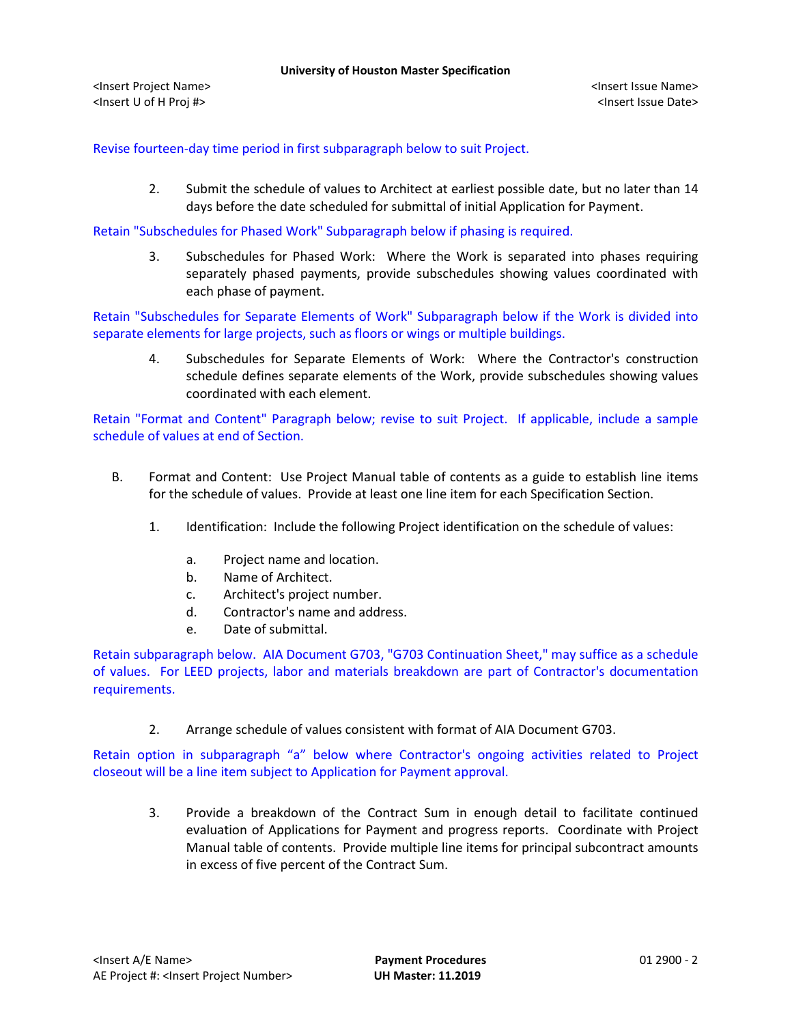<Insert Project Name> <Insert Issue Name> <Insert U of H Proj #> <Insert Issue Date>

Revise fourteen-day time period in first subparagraph below to suit Project.

2. Submit the schedule of values to Architect at earliest possible date, but no later than 14 days before the date scheduled for submittal of initial Application for Payment.

Retain "Subschedules for Phased Work" Subparagraph below if phasing is required.

3. Subschedules for Phased Work: Where the Work is separated into phases requiring separately phased payments, provide subschedules showing values coordinated with each phase of payment.

Retain "Subschedules for Separate Elements of Work" Subparagraph below if the Work is divided into separate elements for large projects, such as floors or wings or multiple buildings.

4. Subschedules for Separate Elements of Work: Where the Contractor's construction schedule defines separate elements of the Work, provide subschedules showing values coordinated with each element.

Retain "Format and Content" Paragraph below; revise to suit Project. If applicable, include a sample schedule of values at end of Section.

- B. Format and Content: Use Project Manual table of contents as a guide to establish line items for the schedule of values. Provide at least one line item for each Specification Section.
	- 1. Identification: Include the following Project identification on the schedule of values:
		- a. Project name and location.
		- b. Name of Architect.
		- c. Architect's project number.
		- d. Contractor's name and address.
		- e. Date of submittal.

Retain subparagraph below. AIA Document G703, "G703 Continuation Sheet," may suffice as a schedule of values. For LEED projects, labor and materials breakdown are part of Contractor's documentation requirements.

2. Arrange schedule of values consistent with format of AIA Document G703.

Retain option in subparagraph "a" below where Contractor's ongoing activities related to Project closeout will be a line item subject to Application for Payment approval.

3. Provide a breakdown of the Contract Sum in enough detail to facilitate continued evaluation of Applications for Payment and progress reports. Coordinate with Project Manual table of contents. Provide multiple line items for principal subcontract amounts in excess of five percent of the Contract Sum.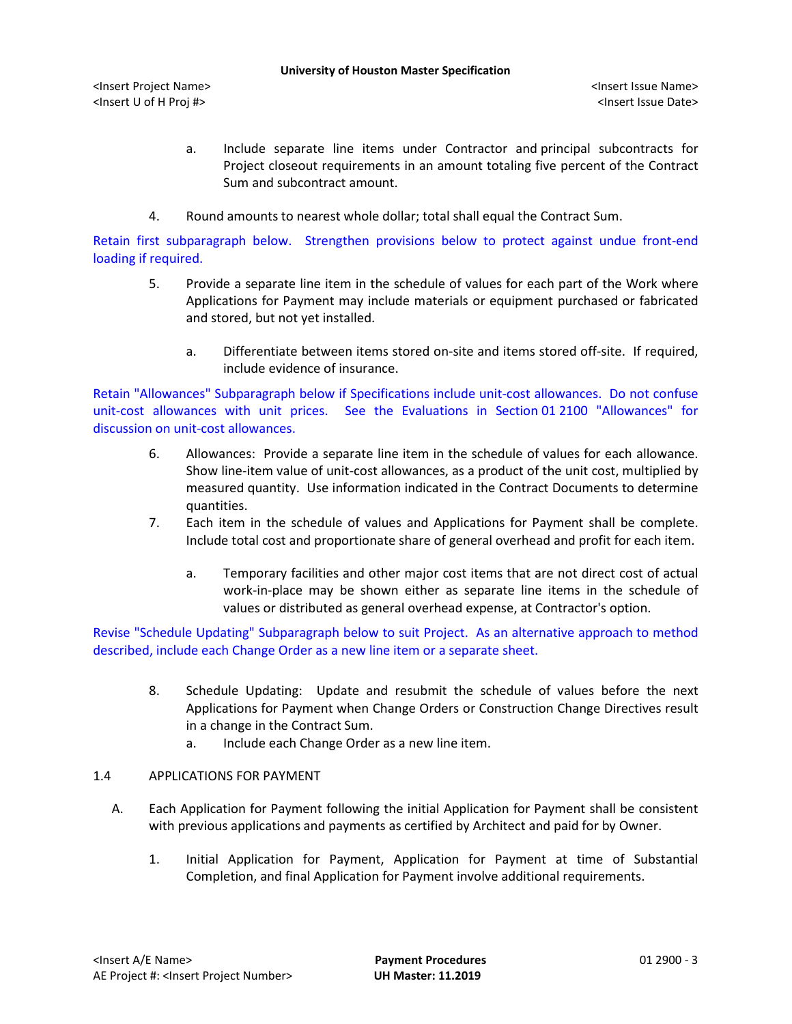<Insert Project Name> <Insert Issue Name> <Insert U of H Proj #> <Insert Issue Date>

- a. Include separate line items under Contractor and principal subcontracts for Project closeout requirements in an amount totaling five percent of the Contract Sum and subcontract amount.
- 4. Round amounts to nearest whole dollar; total shall equal the Contract Sum.

Retain first subparagraph below. Strengthen provisions below to protect against undue front-end loading if required.

- 5. Provide a separate line item in the schedule of values for each part of the Work where Applications for Payment may include materials or equipment purchased or fabricated and stored, but not yet installed.
	- a. Differentiate between items stored on-site and items stored off-site. If required, include evidence of insurance.

Retain "Allowances" Subparagraph below if Specifications include unit-cost allowances. Do not confuse unit-cost allowances with unit prices. See the Evaluations in Section 01 2100 "Allowances" for discussion on unit-cost allowances.

- 6. Allowances: Provide a separate line item in the schedule of values for each allowance. Show line-item value of unit-cost allowances, as a product of the unit cost, multiplied by measured quantity. Use information indicated in the Contract Documents to determine quantities.
- 7. Each item in the schedule of values and Applications for Payment shall be complete. Include total cost and proportionate share of general overhead and profit for each item.
	- a. Temporary facilities and other major cost items that are not direct cost of actual work-in-place may be shown either as separate line items in the schedule of values or distributed as general overhead expense, at Contractor's option.

Revise "Schedule Updating" Subparagraph below to suit Project. As an alternative approach to method described, include each Change Order as a new line item or a separate sheet.

- 8. Schedule Updating: Update and resubmit the schedule of values before the next Applications for Payment when Change Orders or Construction Change Directives result in a change in the Contract Sum.
	- a. Include each Change Order as a new line item.

# 1.4 APPLICATIONS FOR PAYMENT

- A. Each Application for Payment following the initial Application for Payment shall be consistent with previous applications and payments as certified by Architect and paid for by Owner.
	- 1. Initial Application for Payment, Application for Payment at time of Substantial Completion, and final Application for Payment involve additional requirements.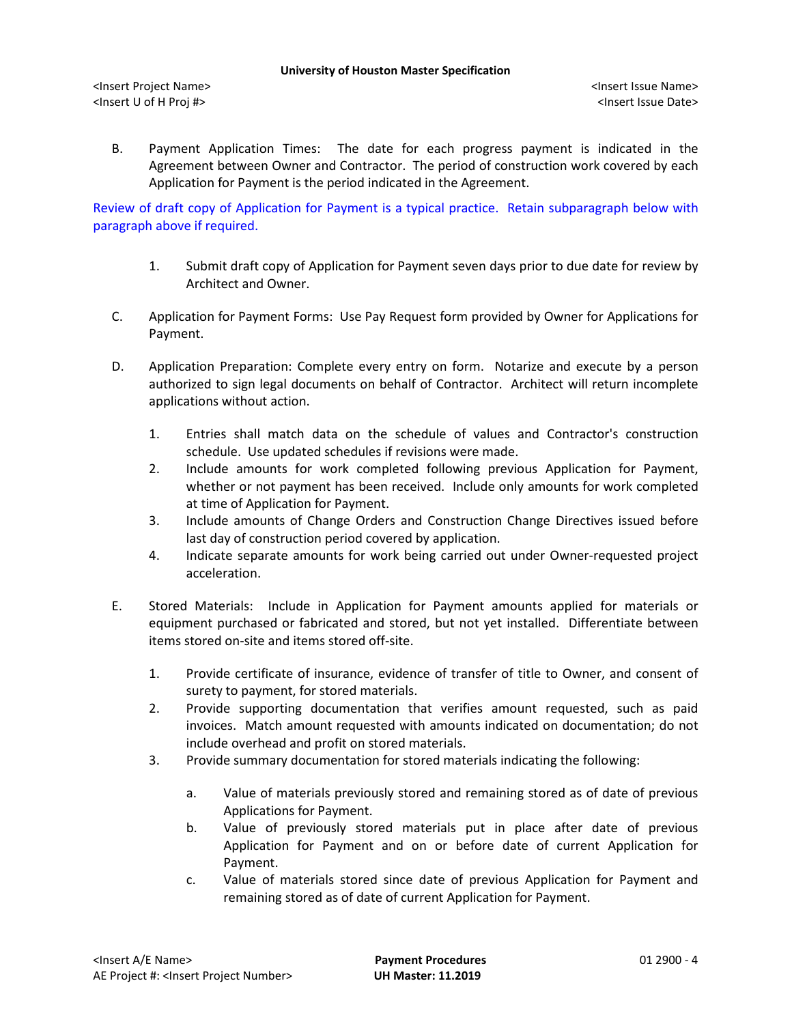B. Payment Application Times: The date for each progress payment is indicated in the Agreement between Owner and Contractor. The period of construction work covered by each Application for Payment is the period indicated in the Agreement.

Review of draft copy of Application for Payment is a typical practice. Retain subparagraph below with paragraph above if required.

- 1. Submit draft copy of Application for Payment seven days prior to due date for review by Architect and Owner.
- C. Application for Payment Forms: Use Pay Request form provided by Owner for Applications for Payment.
- D. Application Preparation: Complete every entry on form. Notarize and execute by a person authorized to sign legal documents on behalf of Contractor. Architect will return incomplete applications without action.
	- 1. Entries shall match data on the schedule of values and Contractor's construction schedule. Use updated schedules if revisions were made.
	- 2. Include amounts for work completed following previous Application for Payment, whether or not payment has been received. Include only amounts for work completed at time of Application for Payment.
	- 3. Include amounts of Change Orders and Construction Change Directives issued before last day of construction period covered by application.
	- 4. Indicate separate amounts for work being carried out under Owner-requested project acceleration.
- E. Stored Materials: Include in Application for Payment amounts applied for materials or equipment purchased or fabricated and stored, but not yet installed. Differentiate between items stored on-site and items stored off-site.
	- 1. Provide certificate of insurance, evidence of transfer of title to Owner, and consent of surety to payment, for stored materials.
	- 2. Provide supporting documentation that verifies amount requested, such as paid invoices. Match amount requested with amounts indicated on documentation; do not include overhead and profit on stored materials.
	- 3. Provide summary documentation for stored materials indicating the following:
		- a. Value of materials previously stored and remaining stored as of date of previous Applications for Payment.
		- b. Value of previously stored materials put in place after date of previous Application for Payment and on or before date of current Application for Payment.
		- c. Value of materials stored since date of previous Application for Payment and remaining stored as of date of current Application for Payment.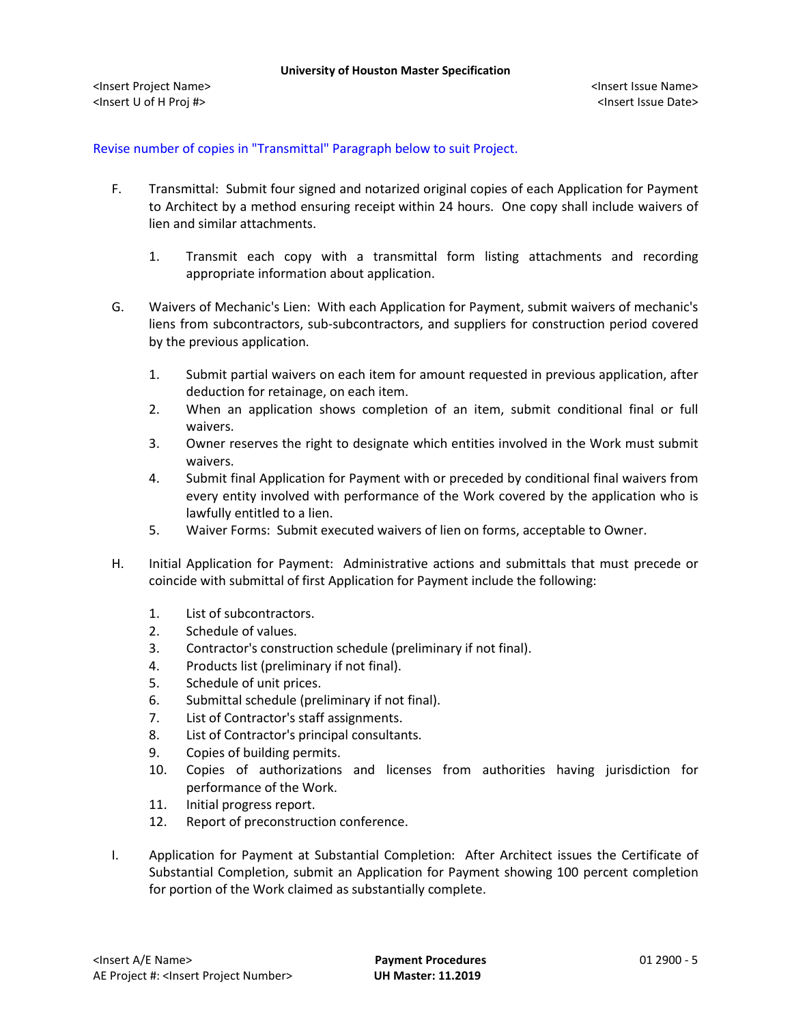Revise number of copies in "Transmittal" Paragraph below to suit Project.

- F. Transmittal: Submit four signed and notarized original copies of each Application for Payment to Architect by a method ensuring receipt within 24 hours. One copy shall include waivers of lien and similar attachments.
	- 1. Transmit each copy with a transmittal form listing attachments and recording appropriate information about application.
- G. Waivers of Mechanic's Lien: With each Application for Payment, submit waivers of mechanic's liens from subcontractors, sub-subcontractors, and suppliers for construction period covered by the previous application.
	- 1. Submit partial waivers on each item for amount requested in previous application, after deduction for retainage, on each item.
	- 2. When an application shows completion of an item, submit conditional final or full waivers.
	- 3. Owner reserves the right to designate which entities involved in the Work must submit waivers.
	- 4. Submit final Application for Payment with or preceded by conditional final waivers from every entity involved with performance of the Work covered by the application who is lawfully entitled to a lien.
	- 5. Waiver Forms: Submit executed waivers of lien on forms, acceptable to Owner.
- H. Initial Application for Payment: Administrative actions and submittals that must precede or coincide with submittal of first Application for Payment include the following:
	- 1. List of subcontractors.
	- 2. Schedule of values.
	- 3. Contractor's construction schedule (preliminary if not final).
	- 4. Products list (preliminary if not final).
	- 5. Schedule of unit prices.
	- 6. Submittal schedule (preliminary if not final).
	- 7. List of Contractor's staff assignments.
	- 8. List of Contractor's principal consultants.
	- 9. Copies of building permits.
	- 10. Copies of authorizations and licenses from authorities having jurisdiction for performance of the Work.
	- 11. Initial progress report.
	- 12. Report of preconstruction conference.
- I. Application for Payment at Substantial Completion: After Architect issues the Certificate of Substantial Completion, submit an Application for Payment showing 100 percent completion for portion of the Work claimed as substantially complete.